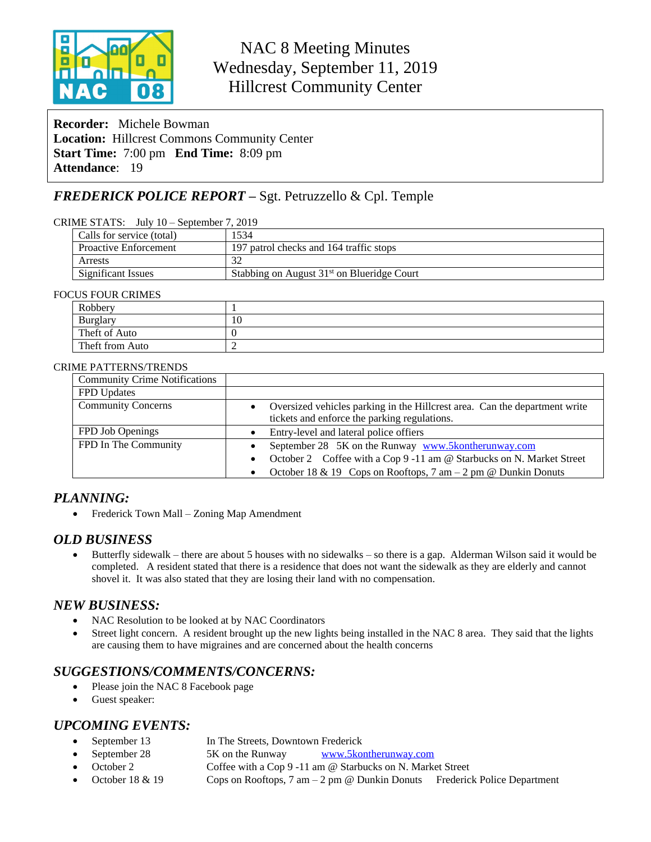

# NAC 8 Meeting Minutes Wednesday, September 11, 2019 Hillcrest Community Center

**Recorder:** Michele Bowman **Location:** Hillcrest Commons Community Center **Start Time:** 7:00 pm **End Time:** 8:09 pm **Attendance**: 19

## *FREDERICK POLICE REPORT –* Sgt. Petruzzello & Cpl. Temple

#### CRIME STATS: July 10 – September 7, 2019

| Calls for service (total)    | 1534                                                   |
|------------------------------|--------------------------------------------------------|
| <b>Proactive Enforcement</b> | 197 patrol checks and 164 traffic stops                |
| Arrests                      |                                                        |
| Significant Issues           | Stabbing on August 31 <sup>st</sup> on Blueridge Court |

#### FOCUS FOUR CRIMES

| Robbery         |    |
|-----------------|----|
| Burglary        | 10 |
| Theft of Auto   |    |
| Theft from Auto |    |

#### CRIME PATTERNS/TRENDS

| <b>Community Crime Notifications</b> |                                                                                                                              |  |
|--------------------------------------|------------------------------------------------------------------------------------------------------------------------------|--|
| FPD Updates                          |                                                                                                                              |  |
| <b>Community Concerns</b>            | • Oversized vehicles parking in the Hillcrest area. Can the department write<br>tickets and enforce the parking regulations. |  |
| FPD Job Openings                     | Entry-level and lateral police offiers                                                                                       |  |
| FPD In The Community                 | September 28 5K on the Runway www.5kontherunway.com                                                                          |  |
|                                      | • October 2 Coffee with a Cop 9 -11 am @ Starbucks on N. Market Street                                                       |  |
|                                      | • October 18 & 19 Cops on Rooftops, $7 \text{ am} - 2 \text{ pm} \textcircled{c}$ Dunkin Donuts                              |  |

### *PLANNING:*

• Frederick Town Mall – Zoning Map Amendment

### *OLD BUSINESS*

 Butterfly sidewalk – there are about 5 houses with no sidewalks – so there is a gap. Alderman Wilson said it would be completed. A resident stated that there is a residence that does not want the sidewalk as they are elderly and cannot shovel it. It was also stated that they are losing their land with no compensation.

### *NEW BUSINESS:*

- NAC Resolution to be looked at by NAC Coordinators
- Street light concern. A resident brought up the new lights being installed in the NAC 8 area. They said that the lights are causing them to have migraines and are concerned about the health concerns

## *SUGGESTIONS/COMMENTS/CONCERNS:*

- Please join the NAC 8 Facebook page
- Guest speaker:

### *UPCOMING EVENTS:*

- September 13 In The Streets, Downtown Frederick
- September 28 5K on the Runway [www.5kontherunway.com](http://www.5kontherunway.com)
	- October 2 Coffee with a Cop 9 -11 am @ Starbucks on N. Market Street
- October 18 & 19 Cops on Rooftops, 7 am 2 pm @ Dunkin Donuts Frederick Police Department